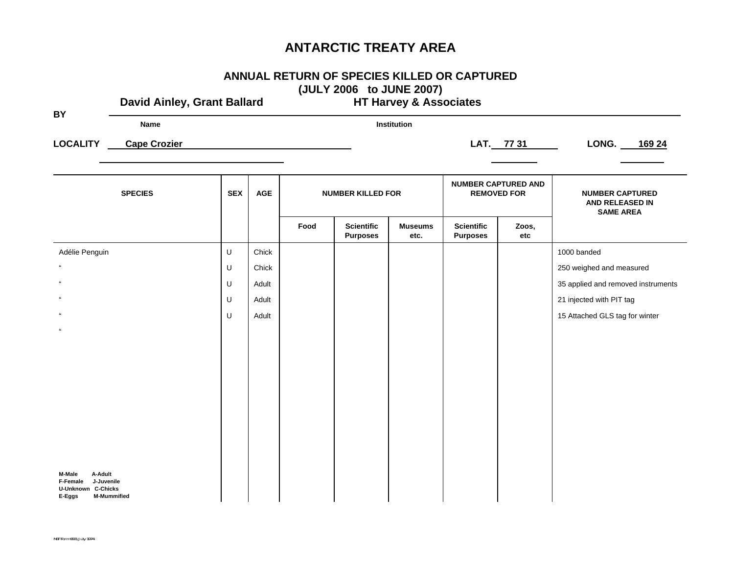| ANNUAL RETURN OF SPECIES KILLED OR CAPTURED                          |
|----------------------------------------------------------------------|
| $\left($ ii ii $\sqrt{2}$ and $\sqrt{2}$ iii iiiiiif aaaf $\sqrt{2}$ |

**(JULY 2006 to JUNE 2007) David Ainley, Grant Ballard HT Harvey & Associates BY Name InstitutionLOCALITY** Cape Crozier 2008 24 **SPECIES SPECIES SPECIES SPECIES SPECIES NUMBER CAPTURED AND REMOVED FOR | NUMBER CAPTURED AND RELEASED IN SAME AREA** "**Food Scientific Purposes Museums etc. Scientific Purposes Zoos, etc**  Adélie Penguin U Chick 1000 banded " U Chick 250 weighed and measured " U Adult 35 applied and removed instruments " U Adult 21 injected with PIT tag " U Adult 15 Attached GLS tag for winter **M-Male A-Adult F-Female J-Juvenile U-Unknown C-Chicks E-Eggs M-Mummified**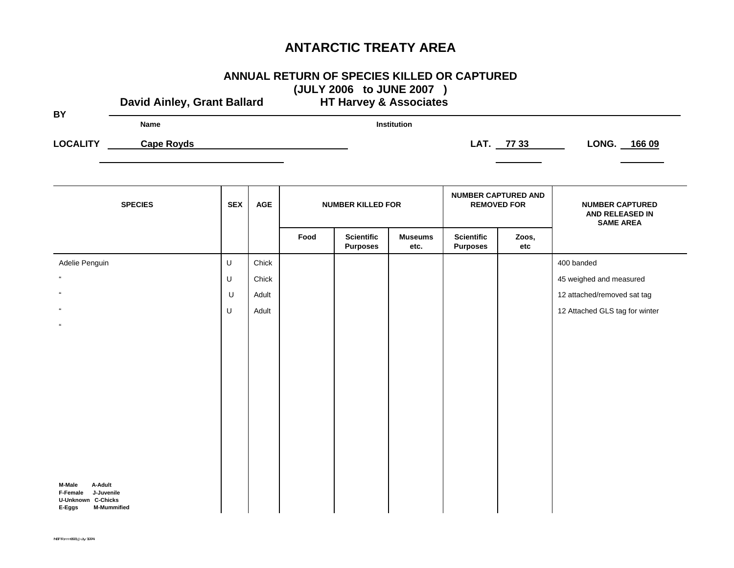#### **ANNUAL RETURN OF SPECIES KILLED OR CAPTURED (JULY 2006 to JUNE 2007 )**

David Ainley, Grant Ballard **HT Harvey & Associates BY Name Institution**LOCALITY Cape Royds **Cape Royds LOCALITY** Cape Royds **LONG.** 166 09 **SPECIES SPECIES SPECIES SPECIES SPECIES NUMBER CAPTURED AND REMOVED FOR | NUMBER CAPTURED AND RELEASED IN SAME AREA Food Scientific Purposes Museums etc. Scientific Purposes Zoos, etc** Adelie Penguin U Chick 400 banded "" and the set of the set of the set of the set of the set of the set of the set of the set of the set of the set of the set of the set of the set of the set of the set of the set of the set of the set of the set of the set " U Adult 12 attached/removed sat tag " U Adult 12 Attached GLS tag for winter **M-Male A-Adult F-Female J-Juvenile U-Unknown C-Chicks E-Eggs M-Mummified**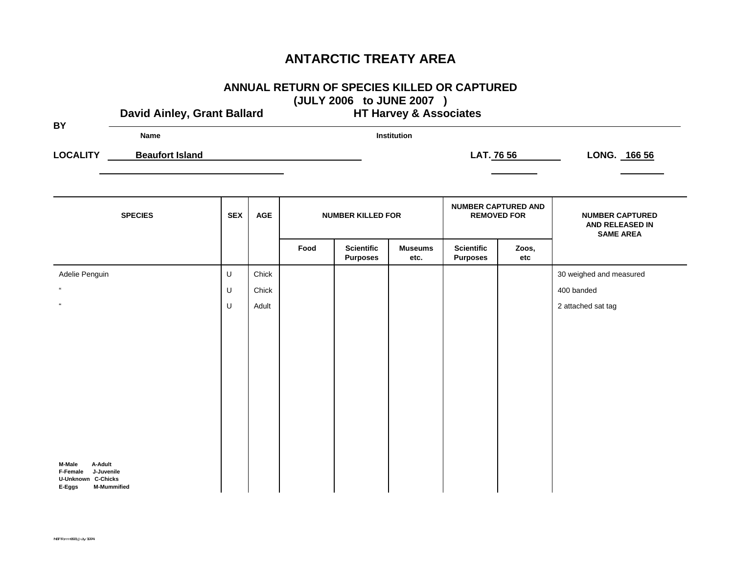# **ANNUAL RETURN OF SPECIES KILLED OR CAPTURED**

| <b>BY</b>          | David Ainley, Grant Ballard | (JULY 2006 to JUNE 2007)<br><b>HT Harvey &amp; Associates</b> |            |      |                                      |                        |                                      |                                                  |                                                               |  |
|--------------------|-----------------------------|---------------------------------------------------------------|------------|------|--------------------------------------|------------------------|--------------------------------------|--------------------------------------------------|---------------------------------------------------------------|--|
|                    | <b>Name</b>                 |                                                               |            |      |                                      | Institution            |                                      |                                                  |                                                               |  |
| <b>LOCALITY</b>    | <b>Beaufort Island</b>      |                                                               |            |      |                                      |                        |                                      | LAT. 76 56                                       | LONG. 166 56                                                  |  |
|                    |                             |                                                               |            |      |                                      |                        |                                      |                                                  |                                                               |  |
|                    | <b>SPECIES</b>              | <b>SEX</b>                                                    | <b>AGE</b> |      | <b>NUMBER KILLED FOR</b>             |                        |                                      | <b>NUMBER CAPTURED AND</b><br><b>REMOVED FOR</b> | <b>NUMBER CAPTURED</b><br>AND RELEASED IN<br><b>SAME AREA</b> |  |
|                    |                             |                                                               |            | Food | <b>Scientific</b><br><b>Purposes</b> | <b>Museums</b><br>etc. | <b>Scientific</b><br><b>Purposes</b> | Zoos,<br>etc                                     |                                                               |  |
| Adelie Penguin     |                             | U                                                             | Chick      |      |                                      |                        |                                      |                                                  | 30 weighed and measured                                       |  |
| $\epsilon\epsilon$ |                             | U                                                             | Chick      |      |                                      |                        |                                      |                                                  | 400 banded                                                    |  |
| $\epsilon\epsilon$ |                             | U                                                             | Adult      |      |                                      |                        |                                      |                                                  | 2 attached sat tag                                            |  |
|                    |                             |                                                               |            |      |                                      |                        |                                      |                                                  |                                                               |  |
|                    |                             |                                                               |            |      |                                      |                        |                                      |                                                  |                                                               |  |
|                    |                             |                                                               |            |      |                                      |                        |                                      |                                                  |                                                               |  |
|                    |                             |                                                               |            |      |                                      |                        |                                      |                                                  |                                                               |  |

**M-Male A-Adult F-Female J-Juvenile U-Unknown C-Chicks E-Eggs M-Mummified**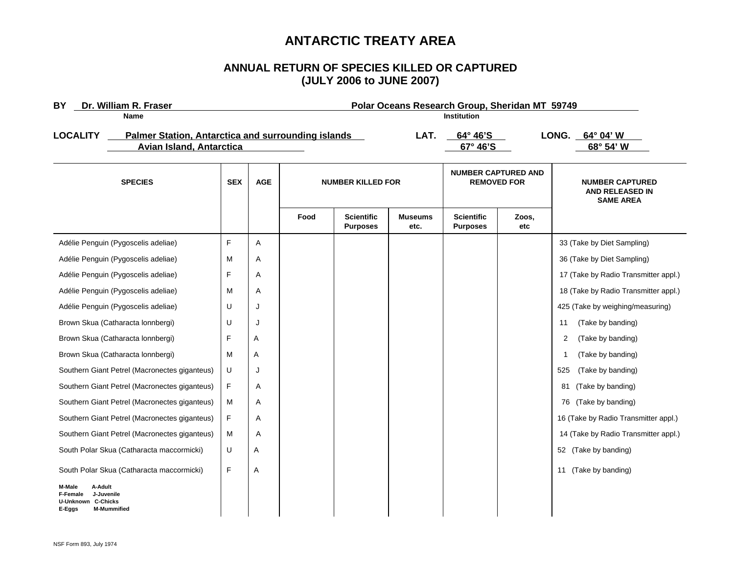#### **ANNUAL RETURN OF SPECIES KILLED OR CAPTURED (JULY 2006 to JUNE 2007)**

| Dr. William R. Fraser<br>BY<br>Name                                                                             | Polar Oceans Research Group, Sheridan MT 59749<br><b>Institution</b> |            |                          |                                      |                        |                                                  |              |                                                               |
|-----------------------------------------------------------------------------------------------------------------|----------------------------------------------------------------------|------------|--------------------------|--------------------------------------|------------------------|--------------------------------------------------|--------------|---------------------------------------------------------------|
| <b>LOCALITY</b><br><b>Palmer Station, Antarctica and surrounding islands</b><br><b>Avian Island, Antarctica</b> |                                                                      |            |                          |                                      | LAT.                   | $64^\circ 46^\prime$ S<br>67° 46'S               |              | LONG. $64^{\circ}$ 04' W<br>68° 54' W                         |
| <b>SPECIES</b>                                                                                                  |                                                                      | <b>AGE</b> | <b>NUMBER KILLED FOR</b> |                                      |                        | <b>NUMBER CAPTURED AND</b><br><b>REMOVED FOR</b> |              | <b>NUMBER CAPTURED</b><br>AND RELEASED IN<br><b>SAME AREA</b> |
|                                                                                                                 |                                                                      |            | Food                     | <b>Scientific</b><br><b>Purposes</b> | <b>Museums</b><br>etc. | <b>Scientific</b><br><b>Purposes</b>             | Zoos,<br>etc |                                                               |
| Adélie Penguin (Pygoscelis adeliae)                                                                             | F                                                                    | Α          |                          |                                      |                        |                                                  |              | 33 (Take by Diet Sampling)                                    |
| Adélie Penguin (Pygoscelis adeliae)                                                                             | M                                                                    | Α          |                          |                                      |                        |                                                  |              | 36 (Take by Diet Sampling)                                    |
| Adélie Penguin (Pygoscelis adeliae)                                                                             | F                                                                    | Α          |                          |                                      |                        |                                                  |              | 17 (Take by Radio Transmitter appl.)                          |
| Adélie Penguin (Pygoscelis adeliae)                                                                             | M                                                                    | Α          |                          |                                      |                        |                                                  |              | 18 (Take by Radio Transmitter appl.)                          |
| Adélie Penguin (Pygoscelis adeliae)                                                                             | U                                                                    | J          |                          |                                      |                        |                                                  |              | 425 (Take by weighing/measuring)                              |
| Brown Skua (Catharacta lonnbergi)                                                                               | U                                                                    | J          |                          |                                      |                        |                                                  |              | (Take by banding)<br>11                                       |
| Brown Skua (Catharacta lonnbergi)                                                                               | F                                                                    | Α          |                          |                                      |                        |                                                  |              | 2<br>(Take by banding)                                        |
| Brown Skua (Catharacta lonnbergi)                                                                               | M                                                                    | Α          |                          |                                      |                        |                                                  |              | (Take by banding)<br>-1                                       |
| Southern Giant Petrel (Macronectes giganteus)                                                                   | U                                                                    | J          |                          |                                      |                        |                                                  |              | 525<br>(Take by banding)                                      |
| Southern Giant Petrel (Macronectes giganteus)                                                                   | F                                                                    | Α          |                          |                                      |                        |                                                  |              | 81<br>(Take by banding)                                       |
| Southern Giant Petrel (Macronectes giganteus)                                                                   | M                                                                    | Α          |                          |                                      |                        |                                                  |              | (Take by banding)<br>76                                       |
| Southern Giant Petrel (Macronectes giganteus)                                                                   | F                                                                    | Α          |                          |                                      |                        |                                                  |              | 16 (Take by Radio Transmitter appl.)                          |
| Southern Giant Petrel (Macronectes giganteus)                                                                   | м                                                                    | Α          |                          |                                      |                        |                                                  |              | 14 (Take by Radio Transmitter appl.)                          |
| South Polar Skua (Catharacta maccormicki)                                                                       | U                                                                    | Α          |                          |                                      |                        |                                                  |              | 52 (Take by banding)                                          |
| South Polar Skua (Catharacta maccormicki)                                                                       | F                                                                    | Α          |                          |                                      |                        |                                                  |              | 11 (Take by banding)                                          |
| M-Male<br>A-Adult<br>F-Female<br>J-Juvenile<br><b>U-Unknown C-Chicks</b><br><b>M-Mummified</b><br>E-Eggs        |                                                                      |            |                          |                                      |                        |                                                  |              |                                                               |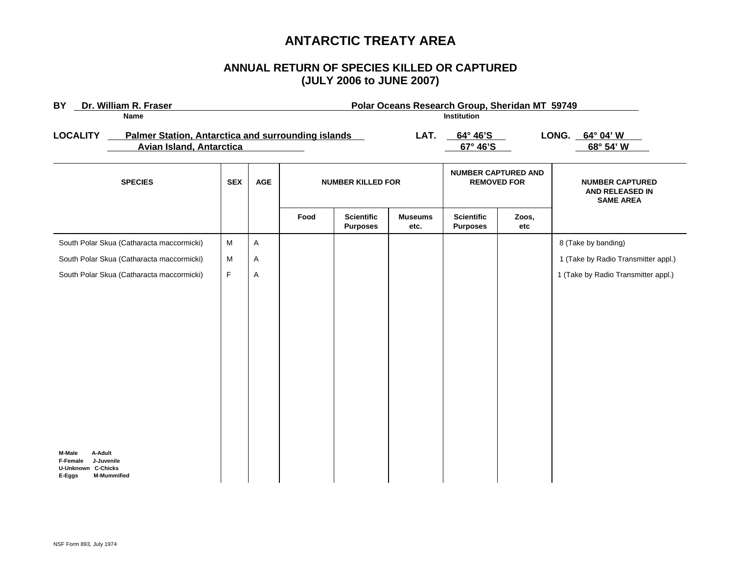#### **ANNUAL RETURN OF SPECIES KILLED OR CAPTURED (JULY 2006 to JUNE 2007)**

| Dr. William R. Fraser<br><b>BY</b>                                                                              |            | Polar Oceans Research Group, Sheridan MT 59749 |                          |                                      |                                |                                                  |                                 |                                                               |  |
|-----------------------------------------------------------------------------------------------------------------|------------|------------------------------------------------|--------------------------|--------------------------------------|--------------------------------|--------------------------------------------------|---------------------------------|---------------------------------------------------------------|--|
| <b>Name</b>                                                                                                     |            | Institution                                    |                          |                                      |                                |                                                  |                                 |                                                               |  |
| <b>LOCALITY</b><br><b>Palmer Station, Antarctica and surrounding islands</b><br><b>Avian Island, Antarctica</b> |            | LAT.                                           |                          |                                      | $64^{\circ} 46'$ S<br>67° 46'S |                                                  | LONG.<br>64° 04' W<br>68° 54' W |                                                               |  |
| <b>SPECIES</b>                                                                                                  | <b>SEX</b> | <b>AGE</b>                                     | <b>NUMBER KILLED FOR</b> |                                      |                                | <b>NUMBER CAPTURED AND</b><br><b>REMOVED FOR</b> |                                 | <b>NUMBER CAPTURED</b><br>AND RELEASED IN<br><b>SAME AREA</b> |  |
|                                                                                                                 |            |                                                | Food                     | <b>Scientific</b><br><b>Purposes</b> | <b>Museums</b><br>etc.         | <b>Scientific</b><br><b>Purposes</b>             | Zoos,<br>etc                    |                                                               |  |
| South Polar Skua (Catharacta maccormicki)                                                                       | M          | Α                                              |                          |                                      |                                |                                                  |                                 | 8 (Take by banding)                                           |  |
| South Polar Skua (Catharacta maccormicki)                                                                       | ${\sf M}$  | Α                                              |                          |                                      |                                |                                                  |                                 | 1 (Take by Radio Transmitter appl.)                           |  |
| South Polar Skua (Catharacta maccormicki)                                                                       | F          | Α                                              |                          |                                      |                                |                                                  |                                 | 1 (Take by Radio Transmitter appl.)                           |  |
| A-Adult<br>M-Male<br>J-Juvenile<br>F-Female<br><b>U-Unknown C-Chicks</b><br><b>M-Mummified</b><br>E-Eggs        |            |                                                |                          |                                      |                                |                                                  |                                 |                                                               |  |